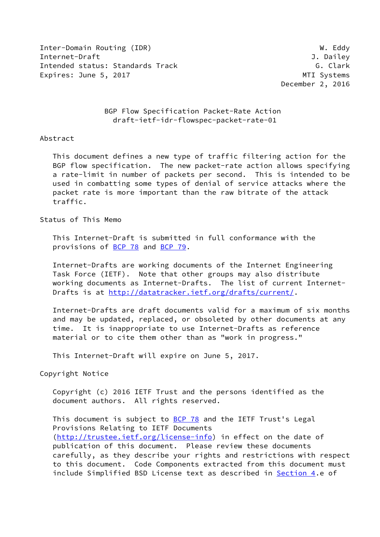Inter-Domain Routing (IDR) W. Eddy Internet-Draft J. Dailey Intended status: Standards Track G. Clark G. Clark Expires: June 5, 2017 and the state of the MTI Systems

December 2, 2016

 BGP Flow Specification Packet-Rate Action draft-ietf-idr-flowspec-packet-rate-01

### Abstract

 This document defines a new type of traffic filtering action for the BGP flow specification. The new packet-rate action allows specifying a rate-limit in number of packets per second. This is intended to be used in combatting some types of denial of service attacks where the packet rate is more important than the raw bitrate of the attack traffic.

#### Status of This Memo

 This Internet-Draft is submitted in full conformance with the provisions of [BCP 78](https://datatracker.ietf.org/doc/pdf/bcp78) and [BCP 79](https://datatracker.ietf.org/doc/pdf/bcp79).

 Internet-Drafts are working documents of the Internet Engineering Task Force (IETF). Note that other groups may also distribute working documents as Internet-Drafts. The list of current Internet Drafts is at<http://datatracker.ietf.org/drafts/current/>.

 Internet-Drafts are draft documents valid for a maximum of six months and may be updated, replaced, or obsoleted by other documents at any time. It is inappropriate to use Internet-Drafts as reference material or to cite them other than as "work in progress."

This Internet-Draft will expire on June 5, 2017.

#### Copyright Notice

 Copyright (c) 2016 IETF Trust and the persons identified as the document authors. All rights reserved.

This document is subject to **[BCP 78](https://datatracker.ietf.org/doc/pdf/bcp78)** and the IETF Trust's Legal Provisions Relating to IETF Documents [\(http://trustee.ietf.org/license-info](http://trustee.ietf.org/license-info)) in effect on the date of publication of this document. Please review these documents carefully, as they describe your rights and restrictions with respect to this document. Code Components extracted from this document must include Simplified BSD License text as described in [Section 4.](#page-3-0)e of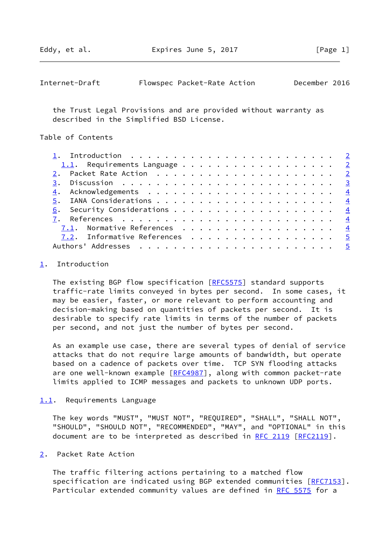<span id="page-1-1"></span>

| Internet-Draft |  | Flowspec Packet-Rate Action |  | December 2016 |  |
|----------------|--|-----------------------------|--|---------------|--|
|----------------|--|-----------------------------|--|---------------|--|

 the Trust Legal Provisions and are provided without warranty as described in the Simplified BSD License.

Table of Contents

| 1. Introduction $\ldots \ldots \ldots \ldots \ldots \ldots \ldots \ldots \ldots$ |  |
|----------------------------------------------------------------------------------|--|
| 1.1. Requirements Language $2$                                                   |  |
|                                                                                  |  |
|                                                                                  |  |
|                                                                                  |  |
|                                                                                  |  |
|                                                                                  |  |
|                                                                                  |  |
| 7.1. Normative References $\frac{4}{5}$                                          |  |
| 7.2. Informative References 5                                                    |  |
|                                                                                  |  |

#### <span id="page-1-0"></span>[1](#page-1-0). Introduction

The existing BGP flow specification [\[RFC5575](https://datatracker.ietf.org/doc/pdf/rfc5575)] standard supports traffic-rate limits conveyed in bytes per second. In some cases, it may be easier, faster, or more relevant to perform accounting and decision-making based on quantities of packets per second. It is desirable to specify rate limits in terms of the number of packets per second, and not just the number of bytes per second.

 As an example use case, there are several types of denial of service attacks that do not require large amounts of bandwidth, but operate based on a cadence of packets over time. TCP SYN flooding attacks are one well-known example [[RFC4987\]](https://datatracker.ietf.org/doc/pdf/rfc4987), along with common packet-rate limits applied to ICMP messages and packets to unknown UDP ports.

### <span id="page-1-2"></span>[1.1](#page-1-2). Requirements Language

 The key words "MUST", "MUST NOT", "REQUIRED", "SHALL", "SHALL NOT", "SHOULD", "SHOULD NOT", "RECOMMENDED", "MAY", and "OPTIONAL" in this document are to be interpreted as described in [RFC 2119 \[RFC2119](https://datatracker.ietf.org/doc/pdf/rfc2119)].

#### <span id="page-1-3"></span>[2](#page-1-3). Packet Rate Action

 The traffic filtering actions pertaining to a matched flow specification are indicated using BGP extended communities [[RFC7153\]](https://datatracker.ietf.org/doc/pdf/rfc7153). Particular extended community values are defined in [RFC 5575](https://datatracker.ietf.org/doc/pdf/rfc5575) for a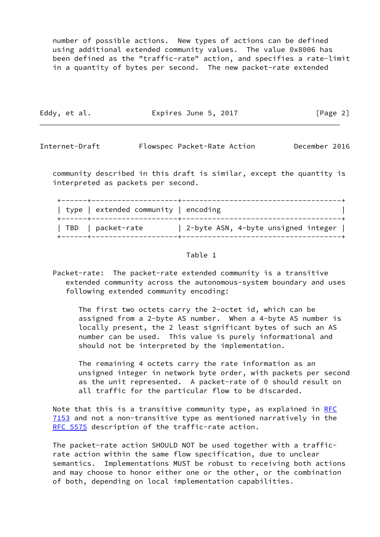number of possible actions. New types of actions can be defined using additional extended community values. The value 0x8006 has been defined as the "traffic-rate" action, and specifies a rate-limit in a quantity of bytes per second. The new packet-rate extended

| Eddy, et al. | Expires June 5, 2017 | [Page 2] |
|--------------|----------------------|----------|
|              |                      |          |

<span id="page-2-0"></span>Internet-Draft Flowspec Packet-Rate Action December 2016

 community described in this draft is similar, except the quantity is interpreted as packets per second.

| type   extended community   encoding |                                     |
|--------------------------------------|-------------------------------------|
| TBD   packet-rate                    | 2-byte ASN, 4-byte unsigned integer |

## Table 1

 Packet-rate: The packet-rate extended community is a transitive extended community across the autonomous-system boundary and uses following extended community encoding:

 The first two octets carry the 2-octet id, which can be assigned from a 2-byte AS number. When a 4-byte AS number is locally present, the 2 least significant bytes of such an AS number can be used. This value is purely informational and should not be interpreted by the implementation.

 The remaining 4 octets carry the rate information as an unsigned integer in network byte order, with packets per second as the unit represented. A packet-rate of 0 should result on all traffic for the particular flow to be discarded.

Note that this is a transitive community type, as explained in [RFC](https://datatracker.ietf.org/doc/pdf/rfc7153) [7153](https://datatracker.ietf.org/doc/pdf/rfc7153) and not a non-transitive type as mentioned narratively in the [RFC 5575](https://datatracker.ietf.org/doc/pdf/rfc5575) description of the traffic-rate action.

 The packet-rate action SHOULD NOT be used together with a traffic rate action within the same flow specification, due to unclear semantics. Implementations MUST be robust to receiving both actions and may choose to honor either one or the other, or the combination of both, depending on local implementation capabilities.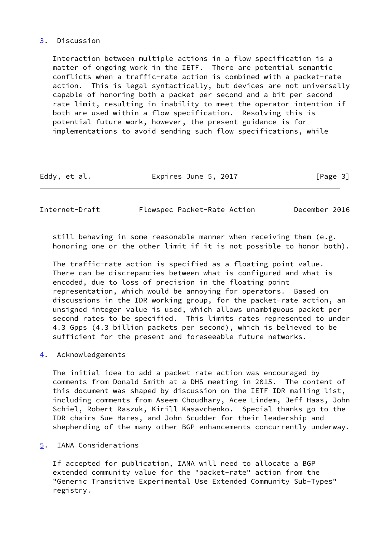# <span id="page-3-1"></span>[3](#page-3-1). Discussion

 Interaction between multiple actions in a flow specification is a matter of ongoing work in the IETF. There are potential semantic conflicts when a traffic-rate action is combined with a packet-rate action. This is legal syntactically, but devices are not universally capable of honoring both a packet per second and a bit per second rate limit, resulting in inability to meet the operator intention if both are used within a flow specification. Resolving this is potential future work, however, the present guidance is for implementations to avoid sending such flow specifications, while

| Eddy, et al. | [Page 3]<br>Expires June 5, 2017 |  |
|--------------|----------------------------------|--|
|--------------|----------------------------------|--|

<span id="page-3-2"></span>Internet-Draft Flowspec Packet-Rate Action December 2016

still behaving in some reasonable manner when receiving them (e.g. honoring one or the other limit if it is not possible to honor both).

 The traffic-rate action is specified as a floating point value. There can be discrepancies between what is configured and what is encoded, due to loss of precision in the floating point representation, which would be annoying for operators. Based on discussions in the IDR working group, for the packet-rate action, an unsigned integer value is used, which allows unambiguous packet per second rates to be specified. This limits rates represented to under 4.3 Gpps (4.3 billion packets per second), which is believed to be sufficient for the present and foreseeable future networks.

# <span id="page-3-0"></span>[4](#page-3-0). Acknowledgements

 The initial idea to add a packet rate action was encouraged by comments from Donald Smith at a DHS meeting in 2015. The content of this document was shaped by discussion on the IETF IDR mailing list, including comments from Aseem Choudhary, Acee Lindem, Jeff Haas, John Schiel, Robert Raszuk, Kirill Kasavchenko. Special thanks go to the IDR chairs Sue Hares, and John Scudder for their leadership and shepherding of the many other BGP enhancements concurrently underway.

# <span id="page-3-3"></span>[5](#page-3-3). IANA Considerations

 If accepted for publication, IANA will need to allocate a BGP extended community value for the "packet-rate" action from the "Generic Transitive Experimental Use Extended Community Sub-Types" registry.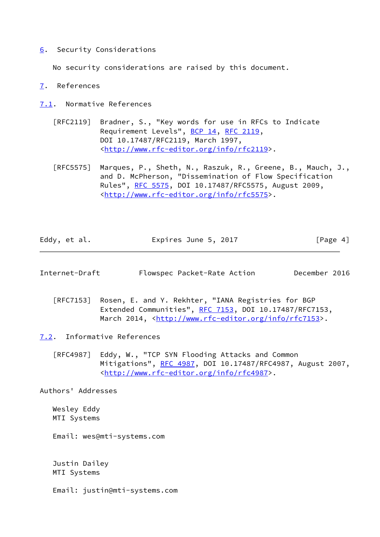<span id="page-4-0"></span>[6](#page-4-0). Security Considerations

No security considerations are raised by this document.

- <span id="page-4-1"></span>[7](#page-4-1). References
- <span id="page-4-2"></span>[7.1](#page-4-2). Normative References
	- [RFC2119] Bradner, S., "Key words for use in RFCs to Indicate Requirement Levels", [BCP 14](https://datatracker.ietf.org/doc/pdf/bcp14), [RFC 2119](https://datatracker.ietf.org/doc/pdf/rfc2119), DOI 10.17487/RFC2119, March 1997, <<http://www.rfc-editor.org/info/rfc2119>>.
	- [RFC5575] Marques, P., Sheth, N., Raszuk, R., Greene, B., Mauch, J., and D. McPherson, "Dissemination of Flow Specification Rules", [RFC 5575,](https://datatracker.ietf.org/doc/pdf/rfc5575) DOI 10.17487/RFC5575, August 2009, <<http://www.rfc-editor.org/info/rfc5575>>.

| Eddy, et al. | Expires June 5, 2017 | [Page 4] |
|--------------|----------------------|----------|
|--------------|----------------------|----------|

<span id="page-4-4"></span>Internet-Draft Flowspec Packet-Rate Action December 2016

 [RFC7153] Rosen, E. and Y. Rekhter, "IANA Registries for BGP Extended Communities", [RFC 7153](https://datatracker.ietf.org/doc/pdf/rfc7153), DOI 10.17487/RFC7153, March 2014, [<http://www.rfc-editor.org/info/rfc7153](http://www.rfc-editor.org/info/rfc7153)>.

<span id="page-4-3"></span>[7.2](#page-4-3). Informative References

 [RFC4987] Eddy, W., "TCP SYN Flooding Attacks and Common Mitigations", [RFC 4987](https://datatracker.ietf.org/doc/pdf/rfc4987), DOI 10.17487/RFC4987, August 2007, <<http://www.rfc-editor.org/info/rfc4987>>.

Authors' Addresses

 Wesley Eddy MTI Systems

Email: wes@mti-systems.com

 Justin Dailey MTI Systems

Email: justin@mti-systems.com